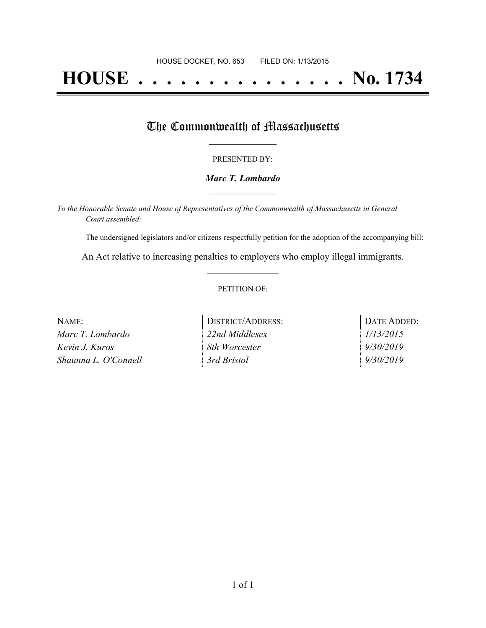# **HOUSE . . . . . . . . . . . . . . . No. 1734**

### The Commonwealth of Massachusetts

#### PRESENTED BY:

#### *Marc T. Lombardo* **\_\_\_\_\_\_\_\_\_\_\_\_\_\_\_\_\_**

*To the Honorable Senate and House of Representatives of the Commonwealth of Massachusetts in General Court assembled:*

The undersigned legislators and/or citizens respectfully petition for the adoption of the accompanying bill:

An Act relative to increasing penalties to employers who employ illegal immigrants. **\_\_\_\_\_\_\_\_\_\_\_\_\_\_\_**

#### PETITION OF:

| NAME:                | DISTRICT/ADDRESS: | : Date Added: . |
|----------------------|-------------------|-----------------|
| Marc T. Lombardo     | 22nd Middlesex    | 1/13/2015       |
| Kevin J. Kuros       | 8th Worcester     | 9/30/2019       |
| Shaunna L. O'Connell | 3rd Bristol       | 9/30/2019       |